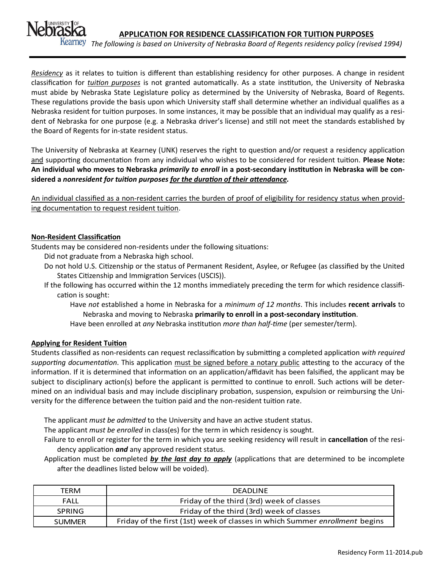

*The following is based on University of Nebraska Board of Regents residency policy (revised 1994)*

*Residency* as it relates to tuition is different than establishing residency for other purposes. A change in resident classification for *tuition purposes* is not granted automatically. As a state institution, the University of Nebraska must abide by Nebraska State Legislature policy as determined by the University of Nebraska, Board of Regents. These regulations provide the basis upon which University staff shall determine whether an individual qualifies as a Nebraska resident for tuition purposes. In some instances, it may be possible that an individual may qualify as a resident of Nebraska for one purpose (e.g. a Nebraska driver's license) and still not meet the standards established by the Board of Regents for in-state resident status.

The University of Nebraska at Kearney (UNK) reserves the right to question and/or request a residency application and supporting documentation from any individual who wishes to be considered for resident tuition. **Please Note: An individual who moves to Nebraska** *primarily to enroll* **in a post-secondary institution in Nebraska will be considered a** *nonresident for tuition purposes for the duration of their attendance.*

An individual classified as a non-resident carries the burden of proof of eligibility for residency status when providing documentation to request resident tuition.

# **Non-Resident Classification**

Students may be considered non-residents under the following situations:

- Did not graduate from a Nebraska high school.
- Do not hold U.S. Citizenship or the status of Permanent Resident, Asylee, or Refugee (as classified by the United States Citizenship and Immigration Services (USCIS)).
- If the following has occurred within the 12 months immediately preceding the term for which residence classification is sought:

Have *not* established a home in Nebraska for a *minimum of 12 months*. This includes **recent arrivals** to Nebraska and moving to Nebraska **primarily to enroll in a post-secondary institution**.

Have been enrolled at *any* Nebraska institution *more than half-time* (per semester/term).

# **Applying for Resident Tuition**

Students classified as non-residents can request reclassification by submitting a completed application *with required supporting documentation*. This application must be signed before a notary public attesting to the accuracy of the information. If it is determined that information on an application/affidavit has been falsified, the applicant may be subject to disciplinary action(s) before the applicant is permitted to continue to enroll. Such actions will be determined on an individual basis and may include disciplinary probation, suspension, expulsion or reimbursing the University for the difference between the tuition paid and the non-resident tuition rate.

The applicant *must be admitted* to the University and have an active student status.

The applicant *must be enrolled* in class(es) for the term in which residency is sought.

Failure to enroll or register for the term in which you are seeking residency will result in **cancellation** of the residency application *and* any approved resident status.

Application must be completed *by the last day to apply* (applications that are determined to be incomplete after the deadlines listed below will be voided).

| TERM          | <b>DEADLINE</b>                                                             |
|---------------|-----------------------------------------------------------------------------|
| FALL          | Friday of the third (3rd) week of classes                                   |
| <b>SPRING</b> | Friday of the third (3rd) week of classes                                   |
| <b>SUMMER</b> | Friday of the first (1st) week of classes in which Summer enrollment begins |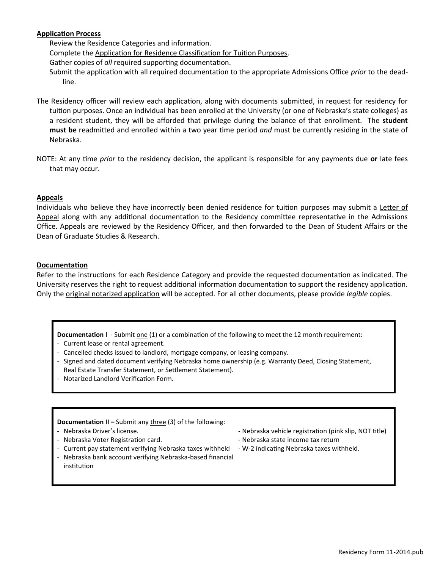# **Application Process**

Review the Residence Categories and information.

Complete the Application for Residence Classification for Tuition Purposes.

Gather copies of *all* required supporting documentation.

- Submit the application with all required documentation to the appropriate Admissions Office *prior* to the deadline.
- The Residency officer will review each application, along with documents submitted, in request for residency for tuition purposes. Once an individual has been enrolled at the University (or one of Nebraska's state colleges) as a resident student, they will be afforded that privilege during the balance of that enrollment. The **student must be** readmitted and enrolled within a two year time period *and* must be currently residing in the state of Nebraska.
- NOTE: At any time *prior* to the residency decision, the applicant is responsible for any payments due **or** late fees that may occur.

#### **Appeals**

Individuals who believe they have incorrectly been denied residence for tuition purposes may submit a Letter of Appeal along with any additional documentation to the Residency committee representative in the Admissions Office. Appeals are reviewed by the Residency Officer, and then forwarded to the Dean of Student Affairs or the Dean of Graduate Studies & Research.

#### **Documentation**

Refer to the instructions for each Residence Category and provide the requested documentation as indicated. The University reserves the right to request additional information documentation to support the residency application. Only the original notarized application will be accepted. For all other documents, please provide *legible* copies.

**Documentation I** - Submit <u>one</u> (1) or a combination of the following to meet the 12 month requirement:

- Current lease or rental agreement.
- Cancelled checks issued to landlord, mortgage company, or leasing company.
- Signed and dated document verifying Nebraska home ownership (e.g. Warranty Deed, Closing Statement, Real Estate Transfer Statement, or Settlement Statement).
- Notarized Landlord Verification Form.

**Documentation II –** Submit any three (3) of the following:

- 
- Nebraska Voter Registration card. Nebraska state income tax return
- Current pay statement verifying Nebraska taxes withheld W-2 indicating Nebraska taxes withheld.
- Nebraska bank account verifying Nebraska-based financial institution
- Nebraska Driver's license. Nebraska vehicle registration (pink slip, NOT title)
	-
	-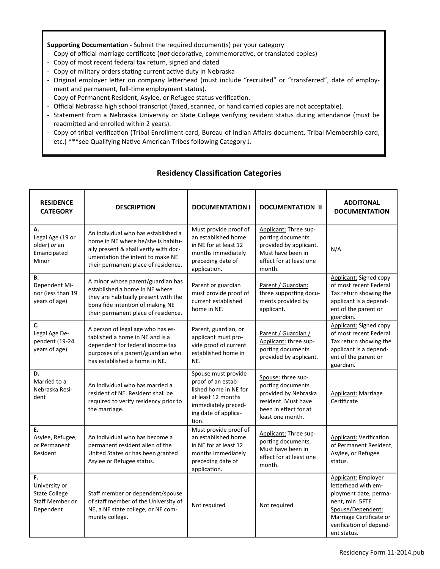**Supporting Documentation -** Submit the required document(s) per your category

- Copy of official marriage certificate (*not* decorative, commemorative, or translated copies)
- Copy of most recent federal tax return, signed and dated
- Copy of military orders stating current active duty in Nebraska
- Original employer letter on company letterhead (must include "recruited" or "transferred", date of employment and permanent, full-time employment status).
- Copy of Permanent Resident, Asylee, or Refugee status verification.
- Official Nebraska high school transcript (faxed, scanned, or hand carried copies are not acceptable).
- Statement from a Nebraska University or State College verifying resident status during attendance (must be readmitted and enrolled within 2 years).
- Copy of tribal verification (Tribal Enrollment card, Bureau of Indian Affairs document, Tribal Membership card, etc.) \*\*\*see Qualifying Native American Tribes following Category J.

| <b>RESIDENCE</b><br><b>CATEGORY</b>                                         | <b>DESCRIPTION</b>                                                                                                                                                                            | <b>DOCUMENTATION I</b>                                                                                                                           | <b>DOCUMENTATION II</b>                                                                                                             | <b>ADDITONAL</b><br><b>DOCUMENTATION</b>                                                                                                                                        |
|-----------------------------------------------------------------------------|-----------------------------------------------------------------------------------------------------------------------------------------------------------------------------------------------|--------------------------------------------------------------------------------------------------------------------------------------------------|-------------------------------------------------------------------------------------------------------------------------------------|---------------------------------------------------------------------------------------------------------------------------------------------------------------------------------|
| А.<br>Legal Age (19 or<br>older) or an<br>Emancipated<br>Minor              | An individual who has established a<br>home in NE where he/she is habitu-<br>ally present & shall verify with doc-<br>umentation the intent to make NE<br>their permanent place of residence. | Must provide proof of<br>an established home<br>in NE for at least 12<br>months immediately<br>preceding date of<br>application.                 | Applicant: Three sup-<br>porting documents<br>provided by applicant.<br>Must have been in<br>effect for at least one<br>month.      | N/A                                                                                                                                                                             |
| В.<br>Dependent Mi-<br>nor (less than 19<br>years of age)                   | A minor whose parent/guardian has<br>established a home in NE where<br>they are habitually present with the<br>bona fide intention of making NE<br>their permanent place of residence.        | Parent or guardian<br>must provide proof of<br>current established<br>home in NE.                                                                | Parent / Guardian:<br>three supporting docu-<br>ments provided by<br>applicant.                                                     | Applicant: Signed copy<br>of most recent Federal<br>Tax return showing the<br>applicant is a depend-<br>ent of the parent or<br>guardian.                                       |
| C.<br>Legal Age De-<br>pendent (19-24<br>years of age)                      | A person of legal age who has es-<br>tablished a home in NE and is a<br>dependent for federal income tax<br>purposes of a parent/guardian who<br>has established a home in NE.                | Parent, guardian, or<br>applicant must pro-<br>vide proof of current<br>established home in<br>NE.                                               | Parent / Guardian /<br>Applicant: three sup-<br>porting documents<br>provided by applicant.                                         | Applicant: Signed copy<br>of most recent Federal<br>Tax return showing the<br>applicant is a depend-<br>ent of the parent or<br>guardian.                                       |
| D.<br>Married to a<br>Nebraska Resi-<br>dent                                | An individual who has married a<br>resident of NE. Resident shall be<br>required to verify residency prior to<br>the marriage.                                                                | Spouse must provide<br>proof of an estab-<br>lished home in NE for<br>at least 12 months<br>immediately preced-<br>ing date of applica-<br>tion. | Spouse: three sup-<br>porting documents<br>provided by Nebraska<br>resident. Must have<br>been in effect for at<br>least one month. | Applicant: Marriage<br>Certificate                                                                                                                                              |
| E.<br>Asylee, Refugee,<br>or Permanent<br>Resident                          | An individual who has become a<br>permanent resident alien of the<br>United States or has been granted<br>Asylee or Refugee status.                                                           | Must provide proof of<br>an established home<br>in NE for at least 12<br>months immediately<br>preceding date of<br>application.                 | Applicant: Three sup-<br>porting documents.<br>Must have been in<br>effect for at least one<br>month.                               | <b>Applicant: Verification</b><br>of Permanent Resident,<br>Asylee, or Refugee<br>status.                                                                                       |
| F.<br>University or<br><b>State College</b><br>Staff Member or<br>Dependent | Staff member or dependent/spouse<br>of staff member of the University of<br>NE, a NE state college, or NE com-<br>munity college.                                                             | Not required                                                                                                                                     | Not required                                                                                                                        | Applicant: Employer<br>letterhead with em-<br>ployment date, perma-<br>nent, min.5FTE<br>Spouse/Dependent:<br>Marriage Certificate or<br>verification of depend-<br>ent status. |

# **Residency Classification Categories**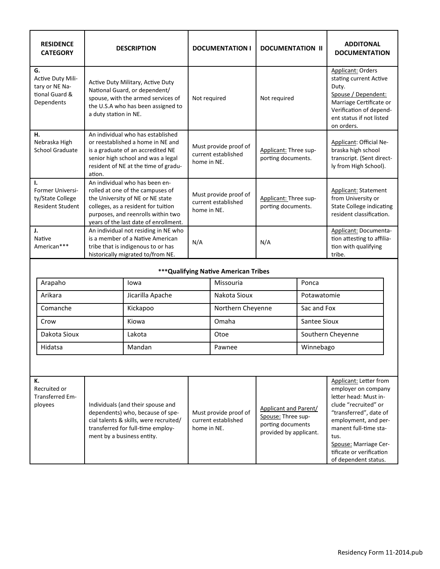| <b>RESIDENCE</b><br><b>CATEGORY</b>                                                                                                                                                                                                           | <b>DESCRIPTION</b>                                                                                                                                                                                                           |                  | <b>DOCUMENTATION I</b>                       |                                                                                                   | <b>DOCUMENTATION II</b>                     |                                                                                                                                                                                                                                                                | <b>ADDITONAL</b><br><b>DOCUMENTATION</b>                                                                                                                                           |
|-----------------------------------------------------------------------------------------------------------------------------------------------------------------------------------------------------------------------------------------------|------------------------------------------------------------------------------------------------------------------------------------------------------------------------------------------------------------------------------|------------------|----------------------------------------------|---------------------------------------------------------------------------------------------------|---------------------------------------------|----------------------------------------------------------------------------------------------------------------------------------------------------------------------------------------------------------------------------------------------------------------|------------------------------------------------------------------------------------------------------------------------------------------------------------------------------------|
| G.<br>Active Duty Mili-<br>tary or NE Na-<br>tional Guard &<br>Dependents                                                                                                                                                                     | Active Duty Military, Active Duty<br>National Guard, or dependent/<br>spouse, with the armed services of<br>the U.S.A who has been assigned to<br>a duty station in NE.                                                      |                  | Not required                                 |                                                                                                   | Not required                                |                                                                                                                                                                                                                                                                | <b>Applicant: Orders</b><br>stating current Active<br>Duty.<br>Spouse / Dependent:<br>Marriage Certificate or<br>Verification of depend-<br>ent status if not listed<br>on orders. |
| н.<br>Nebraska High<br><b>School Graduate</b>                                                                                                                                                                                                 | An individual who has established<br>or reestablished a home in NE and<br>is a graduate of an accredited NE<br>senior high school and was a legal<br>resident of NE at the time of gradu-<br>ation.                          |                  | home in NE.                                  | Must provide proof of<br>current established                                                      | Applicant: Three sup-<br>porting documents. |                                                                                                                                                                                                                                                                | Applicant: Official Ne-<br>braska high school<br>transcript. (Sent direct-<br>ly from High School).                                                                                |
| Т.<br><b>Former Universi-</b><br>ty/State College<br><b>Resident Student</b>                                                                                                                                                                  | An individual who has been en-<br>rolled at one of the campuses of<br>the University of NE or NE state<br>colleges, as a resident for tuition<br>purposes, and reenrolls within two<br>years of the last date of enrollment. |                  | home in NE.                                  | Must provide proof of<br>current established                                                      | Applicant: Three sup-<br>porting documents. |                                                                                                                                                                                                                                                                | <b>Applicant: Statement</b><br>from University or<br><b>State College indicating</b><br>resident classification.                                                                   |
| J.<br>Native<br>American***                                                                                                                                                                                                                   | An individual not residing in NE who<br>is a member of a Native American<br>tribe that is indigenous to or has<br>historically migrated to/from NE.                                                                          |                  | N/A                                          |                                                                                                   | N/A                                         |                                                                                                                                                                                                                                                                | Applicant: Documenta-<br>tion attesting to affilia-<br>tion with qualifying<br>tribe.                                                                                              |
|                                                                                                                                                                                                                                               |                                                                                                                                                                                                                              |                  |                                              | *** Qualifying Native American Tribes                                                             |                                             |                                                                                                                                                                                                                                                                |                                                                                                                                                                                    |
| Arapaho                                                                                                                                                                                                                                       |                                                                                                                                                                                                                              | lowa             |                                              | Missouria                                                                                         |                                             | Ponca                                                                                                                                                                                                                                                          |                                                                                                                                                                                    |
| Arikara                                                                                                                                                                                                                                       |                                                                                                                                                                                                                              | Jicarilla Apache |                                              | Nakota Sioux                                                                                      |                                             | Potawatomie                                                                                                                                                                                                                                                    |                                                                                                                                                                                    |
| Comanche                                                                                                                                                                                                                                      |                                                                                                                                                                                                                              | Kickapoo         |                                              | Northern Cheyenne                                                                                 |                                             | Sac and Fox                                                                                                                                                                                                                                                    |                                                                                                                                                                                    |
| Crow                                                                                                                                                                                                                                          |                                                                                                                                                                                                                              | Kiowa            |                                              | Omaha                                                                                             |                                             | <b>Santee Sioux</b>                                                                                                                                                                                                                                            |                                                                                                                                                                                    |
| Dakota Sioux                                                                                                                                                                                                                                  |                                                                                                                                                                                                                              | Lakota           | Otoe                                         |                                                                                                   | Southern Cheyenne                           |                                                                                                                                                                                                                                                                |                                                                                                                                                                                    |
| Hidatsa<br>Mandan                                                                                                                                                                                                                             |                                                                                                                                                                                                                              |                  | Pawnee                                       |                                                                                                   | Winnebago                                   |                                                                                                                                                                                                                                                                |                                                                                                                                                                                    |
|                                                                                                                                                                                                                                               |                                                                                                                                                                                                                              |                  |                                              |                                                                                                   |                                             |                                                                                                                                                                                                                                                                |                                                                                                                                                                                    |
| к.<br>Recruited or<br><b>Transferred Em-</b><br>ployees<br>Individuals (and their spouse and<br>dependents) who, because of spe-<br>cial talents & skills, were recruited/<br>transferred for full-time employ-<br>ment by a business entity. |                                                                                                                                                                                                                              | home in NE.      | Must provide proof of<br>current established | <b>Applicant and Parent/</b><br>Spouse: Three sup-<br>porting documents<br>provided by applicant. |                                             | Applicant: Letter from<br>employer on company<br>letter head: Must in-<br>clude "recruited" or<br>"transferred", date of<br>employment, and per-<br>manent full-time sta-<br>tus.<br>Spouse: Marriage Cer-<br>tificate or verification<br>of dependent status. |                                                                                                                                                                                    |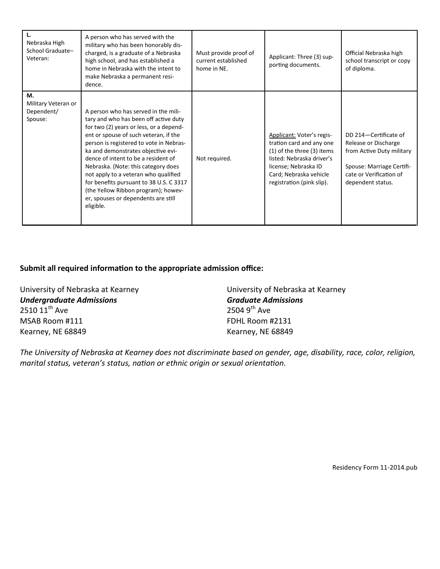| Nebraska High<br>School Graduate-<br>Veteran:      | A person who has served with the<br>military who has been honorably dis-<br>charged, is a graduate of a Nebraska<br>high school, and has established a<br>home in Nebraska with the intent to<br>make Nebraska a permanent resi-<br>dence.                                                                                                                                                                                                                                                                     | Must provide proof of<br>current established<br>home in NE. | Applicant: Three (3) sup-<br>porting documents.                                                                                                                                                 | Official Nebraska high<br>school transcript or copy<br>of diploma.                                                                                      |
|----------------------------------------------------|----------------------------------------------------------------------------------------------------------------------------------------------------------------------------------------------------------------------------------------------------------------------------------------------------------------------------------------------------------------------------------------------------------------------------------------------------------------------------------------------------------------|-------------------------------------------------------------|-------------------------------------------------------------------------------------------------------------------------------------------------------------------------------------------------|---------------------------------------------------------------------------------------------------------------------------------------------------------|
| М.<br>Military Veteran or<br>Dependent/<br>Spouse: | A person who has served in the mili-<br>tary and who has been off active duty<br>for two (2) years or less, or a depend-<br>ent or spouse of such veteran, if the<br>person is registered to vote in Nebras-<br>ka and demonstrates objective evi-<br>dence of intent to be a resident of<br>Nebraska. (Note: this category does<br>not apply to a veteran who qualified<br>for benefits pursuant to 38 U.S. C 3317<br>(the Yellow Ribbon program); howev-<br>er, spouses or dependents are still<br>eligible. | Not required.                                               | Applicant: Voter's regis-<br>tration card and any one<br>(1) of the three (3) items<br>listed: Nebraska driver's<br>license; Nebraska ID<br>Card; Nebraska vehicle<br>registration (pink slip). | DD 214-Certificate of<br>Release or Discharge<br>from Active Duty military<br>Spouse: Marriage Certifi-<br>cate or Verification of<br>dependent status. |

# **Submit all required information to the appropriate admission office:**

University of Nebraska at Kearney University of Nebraska at Kearney *Undergraduate Admissions Graduate Admissions*  $2510 11^{th}$  Ave MSAB Room #111 FDHL Room #2131 Kearney, NE 68849 Kearney, NE 68849

*The University of Nebraska at Kearney does not discriminate based on gender, age, disability, race, color, religion, marital status, veteran's status, nation or ethnic origin or sexual orientation.* 

Residency Form 11-2014.pub